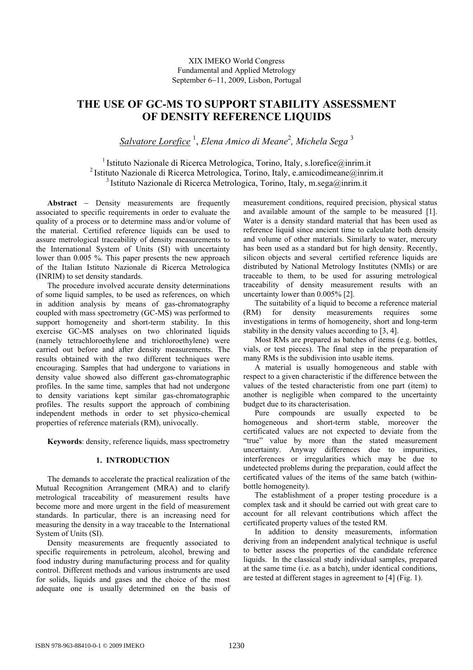XIX IMEKO World Congress Fundamental and Applied Metrology September 6−11, 2009, Lisbon, Portugal

# **THE USE OF GC-MS TO SUPPORT STABILITY ASSESSMENT OF DENSITY REFERENCE LIQUIDS**

*Salvatore Lorefice* <sup>1</sup> , *Elena Amico di Meane*<sup>2</sup> *, Michela Sega* <sup>3</sup>

<sup>1</sup> Istituto Nazionale di Ricerca Metrologica, Torino, Italy, s.lorefice@inrim.it 2 Istituto Nazionale di Ricerca Metrologica, Torino, Italy, e.amicodimeane@inrim.it <sup>3</sup> Istituto Nazionale di Ricerca Metrologica, Torino, Italy, m.sega@inrim.it

**Abstract** − Density measurements are frequently associated to specific requirements in order to evaluate the quality of a process or to determine mass and/or volume of the material. Certified reference liquids can be used to assure metrological traceability of density measurements to the International System of Units (SI) with uncertainty lower than 0.005 %. This paper presents the new approach of the Italian Istituto Nazionale di Ricerca Metrologica (INRIM) to set density standards.

The procedure involved accurate density determinations of some liquid samples, to be used as references, on which in addition analysis by means of gas-chromatography coupled with mass spectrometry (GC-MS) was performed to support homogeneity and short-term stability. In this exercise GC-MS analyses on two chlorinated liquids (namely tetrachloroethylene and trichloroethylene) were carried out before and after density measurements. The results obtained with the two different techniques were encouraging. Samples that had undergone to variations in density value showed also different gas-chromatographic profiles. In the same time, samples that had not undergone to density variations kept similar gas-chromatographic profiles. The results support the approach of combining independent methods in order to set physico-chemical properties of reference materials (RM), univocally.

**Keywords**: density, reference liquids, mass spectrometry

# **1. INTRODUCTION**

The demands to accelerate the practical realization of the Mutual Recognition Arrangement (MRA) and to clarify metrological traceability of measurement results have become more and more urgent in the field of measurement standards. In particular, there is an increasing need for measuring the density in a way traceable to the International System of Units (SI).

Density measurements are frequently associated to specific requirements in petroleum, alcohol, brewing and food industry during manufacturing process and for quality control. Different methods and various instruments are used for solids, liquids and gases and the choice of the most adequate one is usually determined on the basis of measurement conditions, required precision, physical status and available amount of the sample to be measured [1]. Water is a density standard material that has been used as reference liquid since ancient time to calculate both density and volume of other materials. Similarly to water, mercury has been used as a standard but for high density. Recently, silicon objects and several certified reference liquids are distributed by National Metrology Institutes (NMIs) or are traceable to them, to be used for assuring metrological traceability of density measurement results with an uncertainty lower than 0.005% [2].

The suitability of a liquid to become a reference material (RM) for density measurements requires some investigations in terms of homogeneity, short and long-term stability in the density values according to [3, 4].

Most RMs are prepared as batches of items (e.g. bottles, vials, or test pieces). The final step in the preparation of many RMs is the subdivision into usable items.

A material is usually homogeneous and stable with respect to a given characteristic if the difference between the values of the tested characteristic from one part (item) to another is negligible when compared to the uncertainty budget due to its characterisation.

Pure compounds are usually expected to be homogeneous and short-term stable, moreover the certificated values are not expected to deviate from the "true" value by more than the stated measurement uncertainty. Anyway differences due to impurities, interferences or irregularities which may be due to undetected problems during the preparation, could affect the certificated values of the items of the same batch (withinbottle homogeneity).

The establishment of a proper testing procedure is a complex task and it should be carried out with great care to account for all relevant contributions which affect the certificated property values of the tested RM.

In addition to density measurements, information deriving from an independent analytical technique is useful to better assess the properties of the candidate reference liquids. In the classical study individual samples, prepared at the same time (i.e. as a batch), under identical conditions, are tested at different stages in agreement to [4] (Fig. 1).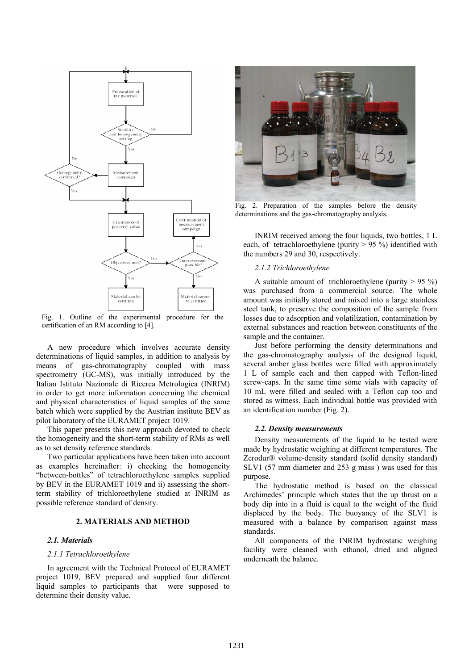

Fig. 1. Outline of the experimental procedure for the certification of an RM according to [4].

A new procedure which involves accurate density determinations of liquid samples, in addition to analysis by means of gas-chromatography coupled with mass spectrometry (GC-MS), was initially introduced by the Italian Istituto Nazionale di Ricerca Metrologica (INRIM) in order to get more information concerning the chemical and physical characteristics of liquid samples of the same batch which were supplied by the Austrian institute BEV as pilot laboratory of the EURAMET project 1019.

This paper presents this new approach devoted to check the homogeneity and the short-term stability of RMs as well as to set density reference standards.

Two particular applications have been taken into account as examples hereinafter: i) checking the homogeneity "between-bottles" of tetrachloroethylene samples supplied by BEV in the EURAMET 1019 and ii) assessing the shortterm stability of trichloroethylene studied at INRIM as possible reference standard of density.

# **2. MATERIALS AND METHOD**

#### *2.1. Materials*

#### *2.1.1 Tetrachloroethylene*

In agreement with the Technical Protocol of EURAMET project 1019, BEV prepared and supplied four different liquid samples to participants that were supposed to determine their density value.



Fig. 2. Preparation of the samples before the density determinations and the gas-chromatography analysis.

INRIM received among the four liquids, two bottles, 1 L each, of tetrachloroethylene (purity > 95 %) identified with the numbers 29 and 30, respectively.

# *2.1.2 Trichloroethylene*

A suitable amount of trichloroethylene (purity  $> 95\%$ ) was purchased from a commercial source. The whole amount was initially stored and mixed into a large stainless steel tank, to preserve the composition of the sample from losses due to adsorption and volatilization, contamination by external substances and reaction between constituents of the sample and the container.

Just before performing the density determinations and the gas-chromatography analysis of the designed liquid, several amber glass bottles were filled with approximately 1 L of sample each and then capped with Teflon-lined screw-caps. In the same time some vials with capacity of 10 mL were filled and sealed with a Teflon cap too and stored as witness. Each individual bottle was provided with an identification number (Fig. 2).

#### *2.2. Density measurements*

Density measurements of the liquid to be tested were made by hydrostatic weighing at different temperatures. The Zerodur® volume-density standard (solid density standard) SLV1 (57 mm diameter and 253 g mass ) was used for this purpose.

The hydrostatic method is based on the classical Archimedes' principle which states that the up thrust on a body dip into in a fluid is equal to the weight of the fluid displaced by the body. The buoyancy of the SLV1 is measured with a balance by comparison against mass standards.

All components of the INRIM hydrostatic weighing facility were cleaned with ethanol, dried and aligned underneath the balance.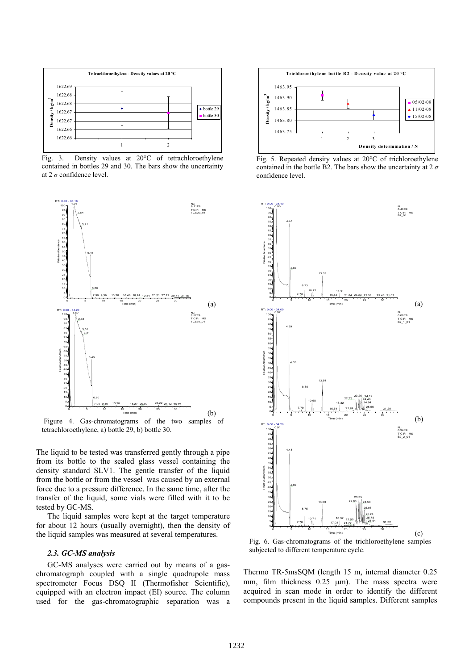

Fig. 3. Density values at 20°C of tetrachloroethylene contained in bottles 29 and 30. The bars show the uncertainty at 2 *σ* confidence level.



Figure 4. Gas-chromatograms of the two samples of tetrachloroethylene, a) bottle 29, b) bottle 30.

The liquid to be tested was transferred gently through a pipe from its bottle to the sealed glass vessel containing the density standard SLV1. The gentle transfer of the liquid from the bottle or from the vessel was caused by an external force due to a pressure difference. In the same time, after the transfer of the liquid, some vials were filled with it to be tested by GC-MS.

The liquid samples were kept at the target temperature for about 12 hours (usually overnight), then the density of the liquid samples was measured at several temperatures.

# *2.3. GC-MS analysis*

GC-MS analyses were carried out by means of a gaschromatograph coupled with a single quadrupole mass spectrometer Focus DSQ II (Thermofisher Scientific), equipped with an electron impact (EI) source. The column used for the gas-chromatographic separation was a



Fig. 5. Repeated density values at 20°C of trichloroethylene contained in the bottle B2. The bars show the uncertainty at 2 *σ* confidence level.



Fig. 6. Gas-chromatograms of the trichloroethylene samples subjected to different temperature cycle.

Thermo TR-5msSQM (length 15 m, internal diameter 0.25 mm, film thickness  $0.25 \mu m$ . The mass spectra were acquired in scan mode in order to identify the different compounds present in the liquid samples. Different samples